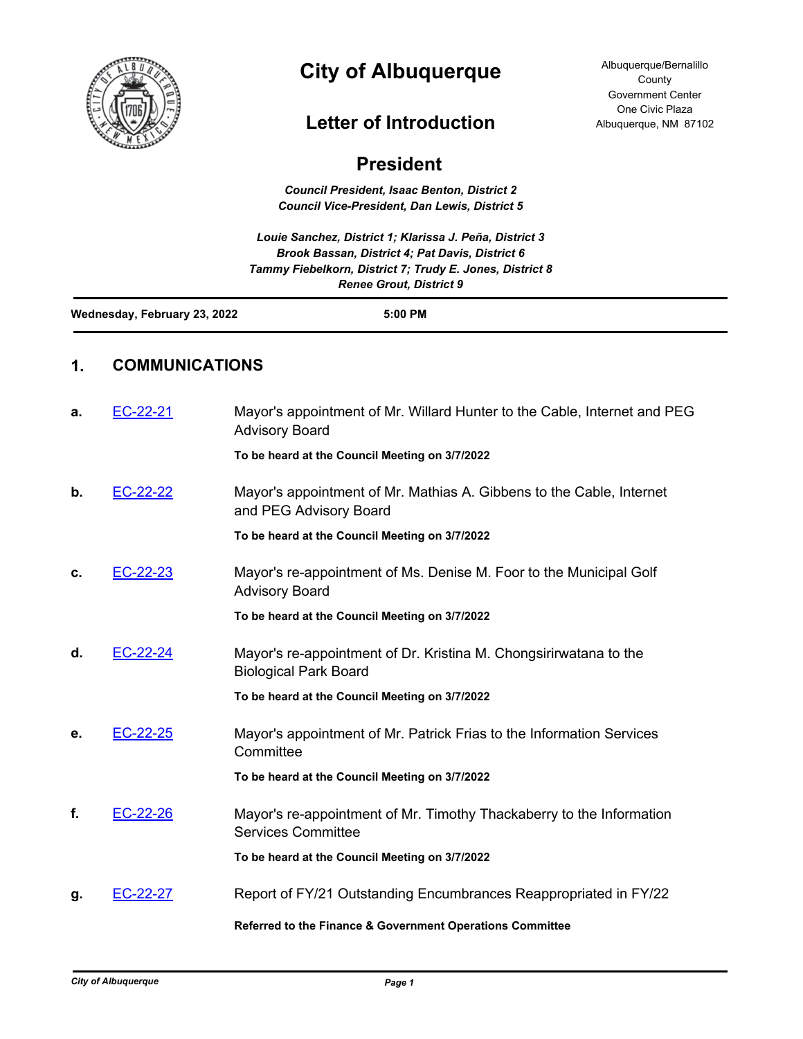

## **City of Albuquerque**

## **Letter of Introduction**

## **President** *Council President, Isaac Benton, District 2 Council Vice-President, Dan Lewis, District 5 Louie Sanchez, District 1; Klarissa J. Peña, District 3 Brook Bassan, District 4; Pat Davis, District 6 Tammy Fiebelkorn, District 7; Trudy E. Jones, District 8 Renee Grout, District 9* **Wednesday, February 23, 2022 5:00 PM 1. COMMUNICATIONS a.** [EC-22-21](http://cabq.legistar.com/gateway.aspx?m=l&id=/matter.aspx?key=12804) Mayor's appointment of Mr. Willard Hunter to the Cable, Internet and PEG Advisory Board **To be heard at the Council Meeting on 3/7/2022 b.** [EC-22-22](http://cabq.legistar.com/gateway.aspx?m=l&id=/matter.aspx?key=12805) Mayor's appointment of Mr. Mathias A. Gibbens to the Cable, Internet and PEG Advisory Board **To be heard at the Council Meeting on 3/7/2022 c.** [EC-22-23](http://cabq.legistar.com/gateway.aspx?m=l&id=/matter.aspx?key=12806) Mayor's re-appointment of Ms. Denise M. Foor to the Municipal Golf Advisory Board **To be heard at the Council Meeting on 3/7/2022 d.** [EC-22-24](http://cabq.legistar.com/gateway.aspx?m=l&id=/matter.aspx?key=12807) Mayor's re-appointment of Dr. Kristina M. Chongsirirwatana to the Biological Park Board **To be heard at the Council Meeting on 3/7/2022 e.** [EC-22-25](http://cabq.legistar.com/gateway.aspx?m=l&id=/matter.aspx?key=12808) Mayor's appointment of Mr. Patrick Frias to the Information Services **Committee To be heard at the Council Meeting on 3/7/2022 f.** [EC-22-26](http://cabq.legistar.com/gateway.aspx?m=l&id=/matter.aspx?key=12810) Mayor's re-appointment of Mr. Timothy Thackaberry to the Information Services Committee **To be heard at the Council Meeting on 3/7/2022 g.** [EC-22-27](http://cabq.legistar.com/gateway.aspx?m=l&id=/matter.aspx?key=12811) Report of FY/21 Outstanding Encumbrances Reappropriated in FY/22 **Referred to the Finance & Government Operations Committee**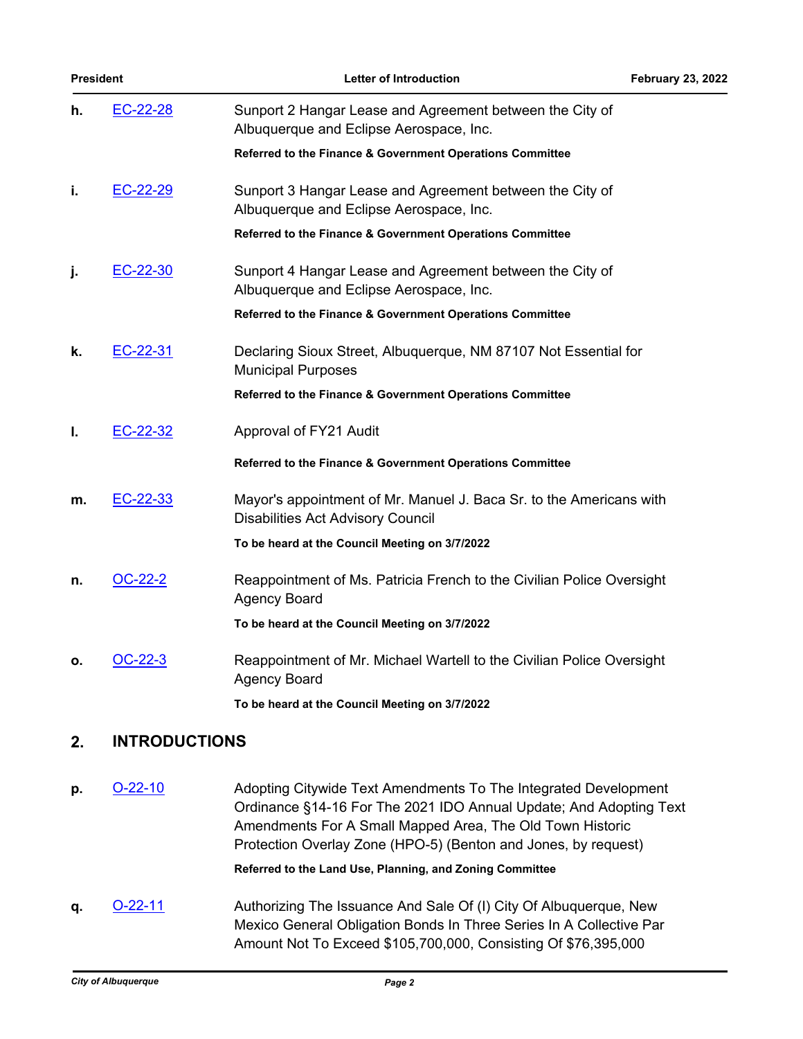| <b>President</b> |                | <b>Letter of Introduction</b>                                                                                   | <b>February 23, 2022</b> |
|------------------|----------------|-----------------------------------------------------------------------------------------------------------------|--------------------------|
| h.               | EC-22-28       | Sunport 2 Hangar Lease and Agreement between the City of<br>Albuquerque and Eclipse Aerospace, Inc.             |                          |
|                  |                | Referred to the Finance & Government Operations Committee                                                       |                          |
| i.               | EC-22-29       | Sunport 3 Hangar Lease and Agreement between the City of<br>Albuquerque and Eclipse Aerospace, Inc.             |                          |
|                  |                | Referred to the Finance & Government Operations Committee                                                       |                          |
| j.               | EC-22-30       | Sunport 4 Hangar Lease and Agreement between the City of<br>Albuquerque and Eclipse Aerospace, Inc.             |                          |
|                  |                | Referred to the Finance & Government Operations Committee                                                       |                          |
| k.               | EC-22-31       | Declaring Sioux Street, Albuquerque, NM 87107 Not Essential for<br><b>Municipal Purposes</b>                    |                          |
|                  |                | Referred to the Finance & Government Operations Committee                                                       |                          |
| L.               | EC-22-32       | Approval of FY21 Audit                                                                                          |                          |
|                  |                | Referred to the Finance & Government Operations Committee                                                       |                          |
| m.               | EC-22-33       | Mayor's appointment of Mr. Manuel J. Baca Sr. to the Americans with<br><b>Disabilities Act Advisory Council</b> |                          |
|                  |                | To be heard at the Council Meeting on 3/7/2022                                                                  |                          |
| n.               | OC-22-2        | Reappointment of Ms. Patricia French to the Civilian Police Oversight<br><b>Agency Board</b>                    |                          |
|                  |                | To be heard at the Council Meeting on 3/7/2022                                                                  |                          |
| ο.               | <b>OC-22-3</b> | Reappointment of Mr. Michael Wartell to the Civilian Police Oversight<br><b>Agency Board</b>                    |                          |
|                  |                | To be heard at the Council Meeting on 3/7/2022                                                                  |                          |

## **2. INTRODUCTIONS**

**p.** [O-22-10](http://cabq.legistar.com/gateway.aspx?m=l&id=/matter.aspx?key=12818) Adopting Citywide Text Amendments To The Integrated Development Ordinance §14-16 For The 2021 IDO Annual Update; And Adopting Text Amendments For A Small Mapped Area, The Old Town Historic Protection Overlay Zone (HPO-5) (Benton and Jones, by request)

**Referred to the Land Use, Planning, and Zoning Committee**

**q. [O-22-11](http://cabq.legistar.com/gateway.aspx?m=l&id=/matter.aspx?key=12819)** Authorizing The Issuance And Sale Of (I) City Of Albuquerque, New Mexico General Obligation Bonds In Three Series In A Collective Par Amount Not To Exceed \$105,700,000, Consisting Of \$76,395,000